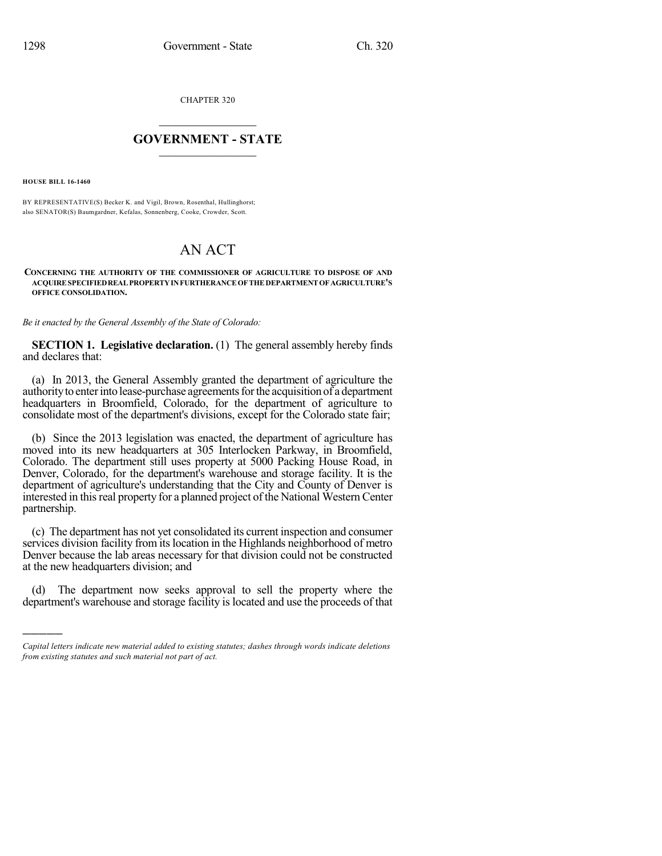CHAPTER 320

## $\mathcal{L}_\text{max}$  . The set of the set of the set of the set of the set of the set of the set of the set of the set of the set of the set of the set of the set of the set of the set of the set of the set of the set of the set **GOVERNMENT - STATE**  $\_$   $\_$   $\_$   $\_$   $\_$   $\_$   $\_$   $\_$

**HOUSE BILL 16-1460**

)))))

BY REPRESENTATIVE(S) Becker K. and Vigil, Brown, Rosenthal, Hullinghorst; also SENATOR(S) Baumgardner, Kefalas, Sonnenberg, Cooke, Crowder, Scott.

## AN ACT

## **CONCERNING THE AUTHORITY OF THE COMMISSIONER OF AGRICULTURE TO DISPOSE OF AND ACQUIRESPECIFIEDREALPROPERTYINFURTHERANCEOFTHEDEPARTMENTOFAGRICULTURE'S OFFICE CONSOLIDATION.**

*Be it enacted by the General Assembly of the State of Colorado:*

**SECTION 1. Legislative declaration.** (1) The general assembly hereby finds and declares that:

(a) In 2013, the General Assembly granted the department of agriculture the authority to enter into lease-purchase agreements for the acquisition of a department headquarters in Broomfield, Colorado, for the department of agriculture to consolidate most of the department's divisions, except for the Colorado state fair;

(b) Since the 2013 legislation was enacted, the department of agriculture has moved into its new headquarters at 305 Interlocken Parkway, in Broomfield, Colorado. The department still uses property at 5000 Packing House Road, in Denver, Colorado, for the department's warehouse and storage facility. It is the department of agriculture's understanding that the City and County of Denver is interested in this real property for a planned project of the National Western Center partnership.

(c) The department has not yet consolidated its current inspection and consumer services division facility from its location in the Highlands neighborhood of metro Denver because the lab areas necessary for that division could not be constructed at the new headquarters division; and

The department now seeks approval to sell the property where the department's warehouse and storage facility is located and use the proceeds of that

*Capital letters indicate new material added to existing statutes; dashes through words indicate deletions from existing statutes and such material not part of act.*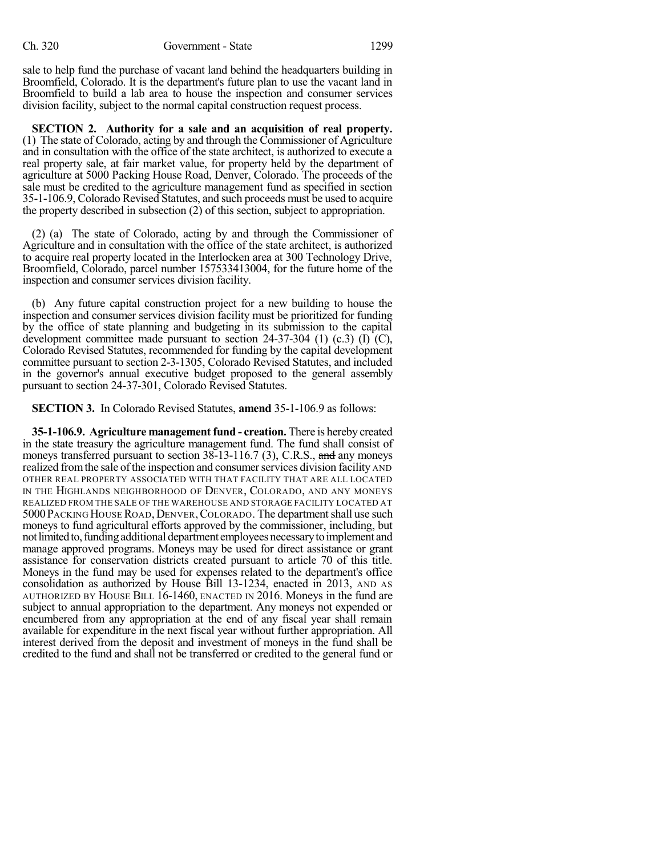sale to help fund the purchase of vacant land behind the headquarters building in Broomfield, Colorado. It is the department's future plan to use the vacant land in Broomfield to build a lab area to house the inspection and consumer services division facility, subject to the normal capital construction request process.

**SECTION 2. Authority for a sale and an acquisition of real property.** (1) The state of Colorado, acting by and through the Commissioner of Agriculture and in consultation with the office of the state architect, is authorized to execute a real property sale, at fair market value, for property held by the department of agriculture at 5000 Packing House Road, Denver, Colorado. The proceeds of the sale must be credited to the agriculture management fund as specified in section 35-1-106.9, Colorado Revised Statutes, and such proceeds must be used to acquire the property described in subsection (2) of this section, subject to appropriation.

(2) (a) The state of Colorado, acting by and through the Commissioner of Agriculture and in consultation with the office of the state architect, is authorized to acquire real property located in the Interlocken area at 300 Technology Drive, Broomfield, Colorado, parcel number 157533413004, for the future home of the inspection and consumer services division facility.

(b) Any future capital construction project for a new building to house the inspection and consumer services division facility must be prioritized for funding by the office of state planning and budgeting in its submission to the capital development committee made pursuant to section  $24-37-304$  (1) (c.3) (I) (C), Colorado Revised Statutes, recommended for funding by the capital development committee pursuant to section 2-3-1305, Colorado Revised Statutes, and included in the governor's annual executive budget proposed to the general assembly pursuant to section 24-37-301, Colorado Revised Statutes.

**SECTION 3.** In Colorado Revised Statutes, **amend** 35-1-106.9 as follows:

**35-1-106.9. Agriculture managementfund - creation.** There is hereby created in the state treasury the agriculture management fund. The fund shall consist of moneys transferred pursuant to section  $38-13-116.7$  (3), C.R.S., and any moneys realized from the sale of the inspection and consumer services division facility AND OTHER REAL PROPERTY ASSOCIATED WITH THAT FACILITY THAT ARE ALL LOCATED IN THE HIGHLANDS NEIGHBORHOOD OF DENVER, COLORADO, AND ANY MONEYS REALIZED FROM THE SALE OF THE WAREHOUSE AND STORAGE FACILITY LOCATED AT 5000PACKING HOUSE ROAD,DENVER,COLORADO. The departmentshall use such moneys to fund agricultural efforts approved by the commissioner, including, but not limited to, funding additional department employees necessary to implement and manage approved programs. Moneys may be used for direct assistance or grant assistance for conservation districts created pursuant to article 70 of this title. Moneys in the fund may be used for expenses related to the department's office consolidation as authorized by House Bill 13-1234, enacted in 2013, AND AS AUTHORIZED BY HOUSE BILL 16-1460, ENACTED IN 2016. Moneys in the fund are subject to annual appropriation to the department. Any moneys not expended or encumbered from any appropriation at the end of any fiscal year shall remain available for expenditure in the next fiscal year without further appropriation. All interest derived from the deposit and investment of moneys in the fund shall be credited to the fund and shall not be transferred or credited to the general fund or